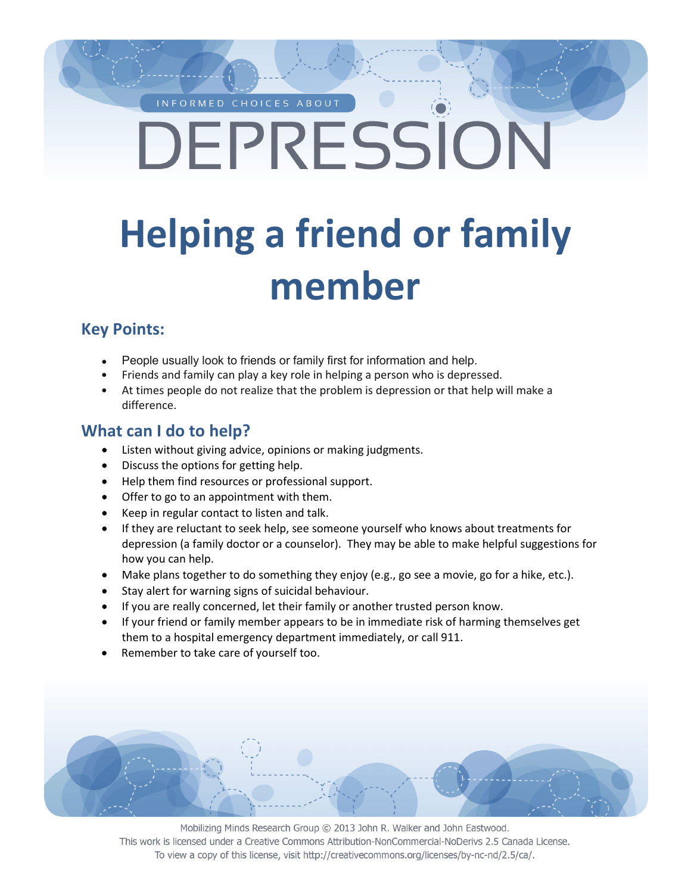#### INFORMED CHOICES ABOUT

# DEPRESSION

# **Helping a friend or family member**

#### **Key Points:**

- People usually look to friends or family first for information and help.
- Friends and family can play a key role in helping a person who is depressed.
- At times people do not realize that the problem is depression or that help will make a difference.

#### **What can I do to help?**

- Listen without giving advice, opinions or making judgments.
- Discuss the options for getting help.
- Help them find resources or professional support.
- Offer to go to an appointment with them.
- Keep in regular contact to listen and talk.
- If they are reluctant to seek help, see someone yourself who knows about treatments for depression (a family doctor or a counselor). They may be able to make helpful suggestions for how you can help.
- Make plans together to do something they enjoy (e.g., go see a movie, go for a hike, etc.).
- Stay alert for warning signs of suicidal behaviour.
- If you are really concerned, let their family or another trusted person know.
- If your friend or family member appears to be in immediate risk of harming themselves get them to a hospital emergency department immediately, or call 911.
- Remember to take care of yourself too.

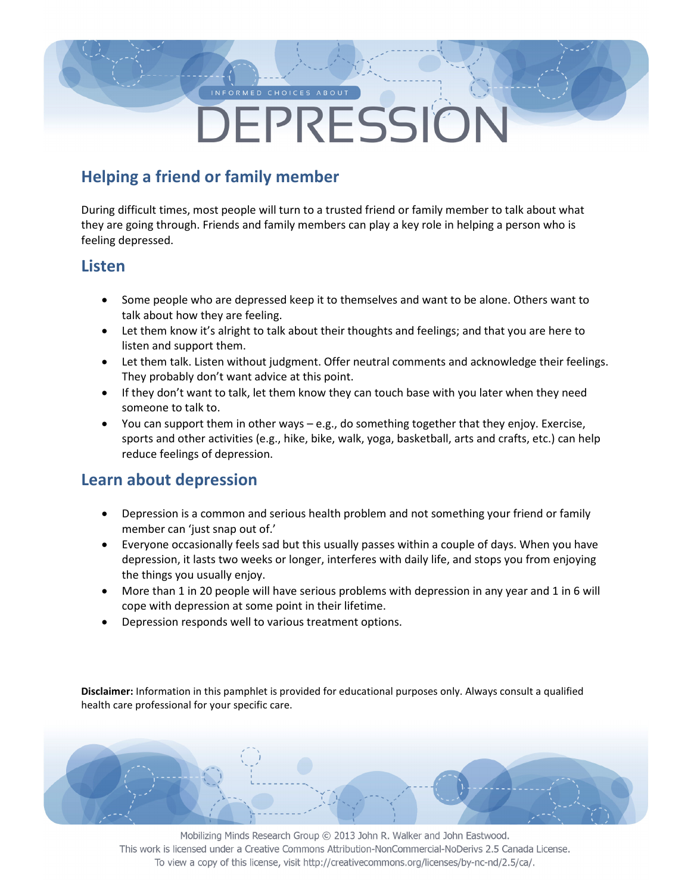# DEPRESSION

## **Helping a friend or family member**

During difficult times, most people will turn to a trusted friend or family member to talk about what they are going through. Friends and family members can play a key role in helping a person who is feeling depressed.

#### **Listen**

- Some people who are depressed keep it to themselves and want to be alone. Others want to talk about how they are feeling.
- Let them know it's alright to talk about their thoughts and feelings; and that you are here to listen and support them.
- Let them talk. Listen without judgment. Offer neutral comments and acknowledge their feelings. They probably don't want advice at this point.
- If they don't want to talk, let them know they can touch base with you later when they need someone to talk to.
- You can support them in other ways  $-e.g.,$  do something together that they enjoy. Exercise, sports and other activities (e.g., hike, bike, walk, yoga, basketball, arts and crafts, etc.) can help reduce feelings of depression.

#### **Learn about depression**

- Depression is a common and serious health problem and not something your friend or family member can 'just snap out of.'
- Everyone occasionally feels sad but this usually passes within a couple of days. When you have depression, it lasts two weeks or longer, interferes with daily life, and stops you from enjoying the things you usually enjoy.
- More than 1 in 20 people will have serious problems with depression in any year and 1 in 6 will cope with depression at some point in their lifetime.
- Depression responds well to various treatment options.

**Disclaimer:** Information in this pamphlet is provided for educational purposes only. Always consult a qualified health care professional for your specific care.

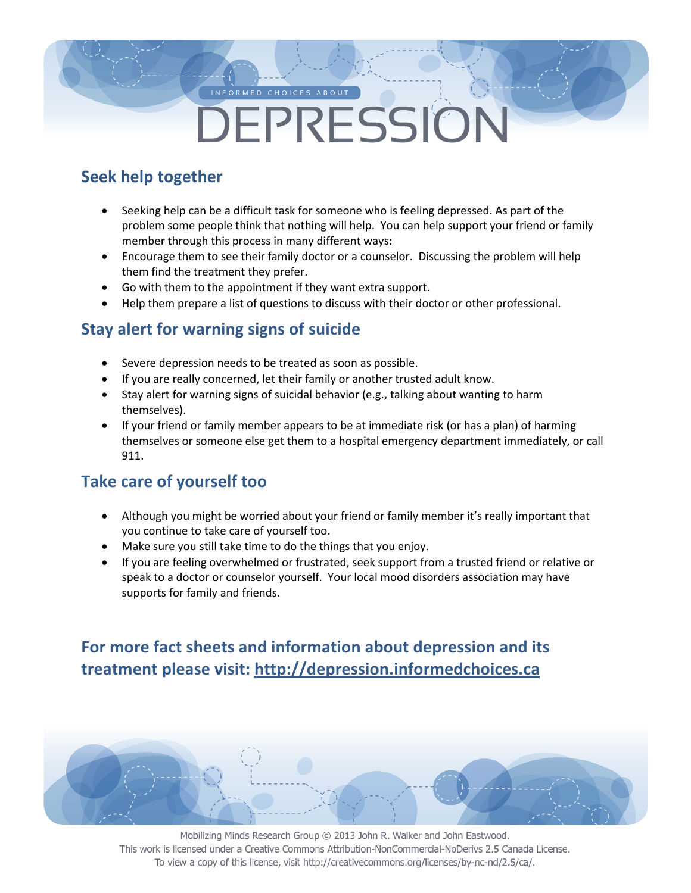# DEPRESSION

### **Seek help together**

- Seeking help can be a difficult task for someone who is feeling depressed. As part of the problem some people think that nothing will help. You can help support your friend or family member through this process in many different ways:
- Encourage them to see their family doctor or a counselor. Discussing the problem will help them find the treatment they prefer.
- Go with them to the appointment if they want extra support.
- Help them prepare a list of questions to discuss with their doctor or other professional.

### **Stay alert for warning signs of suicide**

- Severe depression needs to be treated as soon as possible.
- If you are really concerned, let their family or another trusted adult know.
- Stay alert for warning signs of suicidal behavior (e.g., talking about wanting to harm themselves).
- If your friend or family member appears to be at immediate risk (or has a plan) of harming themselves or someone else get them to a hospital emergency department immediately, or call 911.

### **Take care of yourself too**

- Although you might be worried about your friend or family member it's really important that you continue to take care of yourself too.
- Make sure you still take time to do the things that you enjoy.
- If you are feeling overwhelmed or frustrated, seek support from a trusted friend or relative or speak to a doctor or counselor yourself. Your local mood disorders association may have supports for family and friends.

## **For more fact sheets and information about depression and its treatment please visit: http://depression.informedchoices.ca**